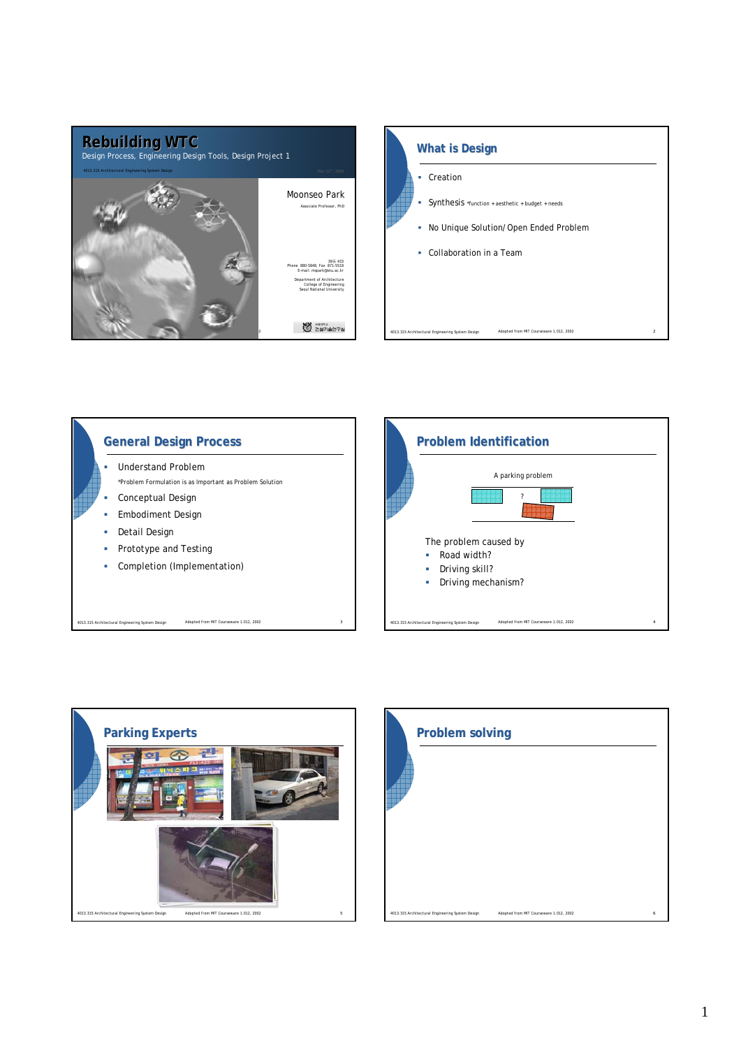







|                                                  | <b>Problem solving</b>                  |   |  |
|--------------------------------------------------|-----------------------------------------|---|--|
|                                                  |                                         |   |  |
|                                                  |                                         |   |  |
| 4013.315 Architectural Engineering System Design | Adopted from MIT Courseware 1.012, 2002 | 6 |  |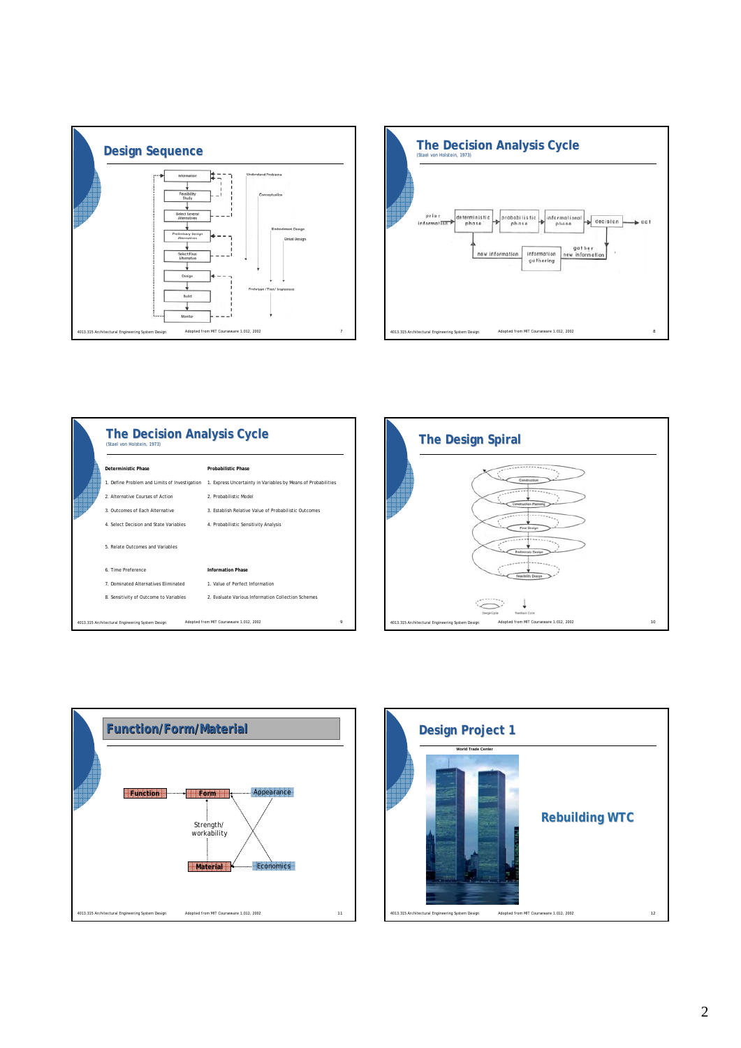